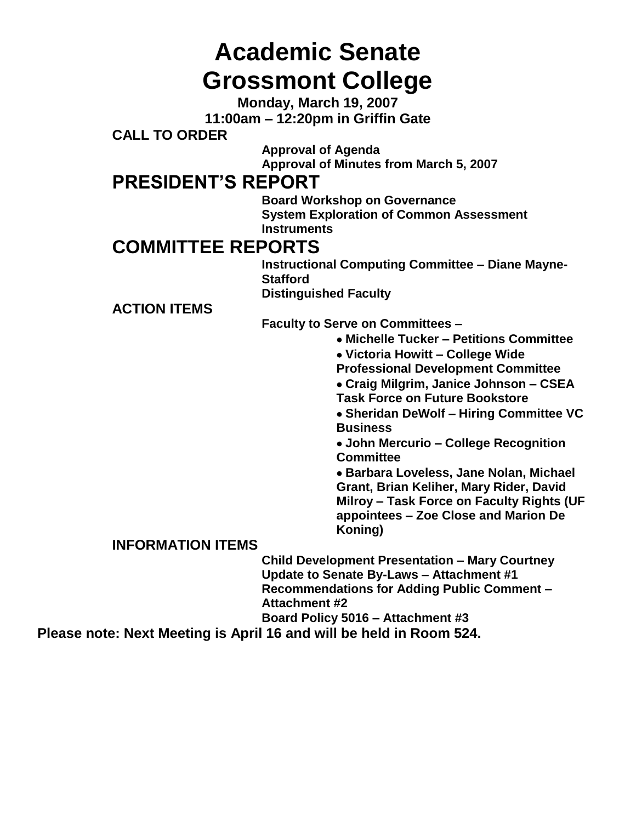# **Academic Senate Grossmont College**

**Monday, March 19, 2007 11:00am – 12:20pm in Griffin Gate**

**CALL TO ORDER**

**Approval of Agenda Approval of Minutes from March 5, 2007**

# **PRESIDENT'S REPORT**

**Board Workshop on Governance System Exploration of Common Assessment Instruments**

# **COMMITTEE REPORTS**

**Instructional Computing Committee – Diane Mayne-Stafford Distinguished Faculty**

**ACTION ITEMS**

**Faculty to Serve on Committees –**

- **Michelle Tucker – Petitions Committee**
- **Victoria Howitt – College Wide**
- **Professional Development Committee**
- **Craig Milgrim, Janice Johnson – CSEA Task Force on Future Bookstore**

**Sheridan DeWolf – Hiring Committee VC Business**

**John Mercurio – College Recognition Committee**

**Barbara Loveless, Jane Nolan, Michael Grant, Brian Keliher, Mary Rider, David Milroy – Task Force on Faculty Rights (UF appointees – Zoe Close and Marion De Koning)**

## **INFORMATION ITEMS**

**Child Development Presentation – Mary Courtney Update to Senate By-Laws – Attachment #1 Recommendations for Adding Public Comment – Attachment #2**

**Board Policy 5016 – Attachment #3**

**Please note: Next Meeting is April 16 and will be held in Room 524.**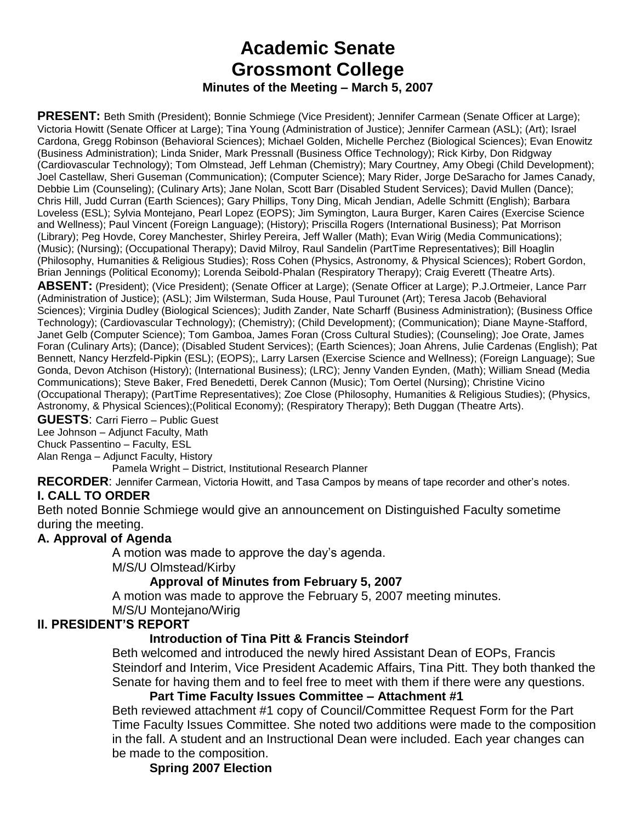## **Academic Senate Grossmont College Minutes of the Meeting – March 5, 2007**

**PRESENT:** Beth Smith (President); Bonnie Schmiege (Vice President); Jennifer Carmean (Senate Officer at Large); Victoria Howitt (Senate Officer at Large); Tina Young (Administration of Justice); Jennifer Carmean (ASL); (Art); Israel Cardona, Gregg Robinson (Behavioral Sciences); Michael Golden, Michelle Perchez (Biological Sciences); Evan Enowitz (Business Administration); Linda Snider, Mark Pressnall (Business Office Technology); Rick Kirby, Don Ridgway (Cardiovascular Technology); Tom Olmstead, Jeff Lehman (Chemistry); Mary Courtney, Amy Obegi (Child Development); Joel Castellaw, Sheri Guseman (Communication); (Computer Science); Mary Rider, Jorge DeSaracho for James Canady, Debbie Lim (Counseling); (Culinary Arts); Jane Nolan, Scott Barr (Disabled Student Services); David Mullen (Dance); Chris Hill, Judd Curran (Earth Sciences); Gary Phillips, Tony Ding, Micah Jendian, Adelle Schmitt (English); Barbara Loveless (ESL); Sylvia Montejano, Pearl Lopez (EOPS); Jim Symington, Laura Burger, Karen Caires (Exercise Science and Wellness); Paul Vincent (Foreign Language); (History); Priscilla Rogers (International Business); Pat Morrison (Library); Peg Hovde, Corey Manchester, Shirley Pereira, Jeff Waller (Math); Evan Wirig (Media Communications); (Music); (Nursing); (Occupational Therapy); David Milroy, Raul Sandelin (PartTime Representatives); Bill Hoaglin (Philosophy, Humanities & Religious Studies); Ross Cohen (Physics, Astronomy, & Physical Sciences); Robert Gordon, Brian Jennings (Political Economy); Lorenda Seibold-Phalan (Respiratory Therapy); Craig Everett (Theatre Arts).

**ABSENT:** (President); (Vice President); (Senate Officer at Large); (Senate Officer at Large); P.J.Ortmeier, Lance Parr (Administration of Justice); (ASL); Jim Wilsterman, Suda House, Paul Turounet (Art); Teresa Jacob (Behavioral Sciences); Virginia Dudley (Biological Sciences); Judith Zander, Nate Scharff (Business Administration); (Business Office Technology); (Cardiovascular Technology); (Chemistry); (Child Development); (Communication); Diane Mayne-Stafford, Janet Gelb (Computer Science); Tom Gamboa, James Foran (Cross Cultural Studies); (Counseling); Joe Orate, James Foran (Culinary Arts); (Dance); (Disabled Student Services); (Earth Sciences); Joan Ahrens, Julie Cardenas (English); Pat Bennett, Nancy Herzfeld-Pipkin (ESL); (EOPS);, Larry Larsen (Exercise Science and Wellness); (Foreign Language); Sue Gonda, Devon Atchison (History); (International Business); (LRC); Jenny Vanden Eynden, (Math); William Snead (Media Communications); Steve Baker, Fred Benedetti, Derek Cannon (Music); Tom Oertel (Nursing); Christine Vicino (Occupational Therapy); (PartTime Representatives); Zoe Close (Philosophy, Humanities & Religious Studies); (Physics, Astronomy, & Physical Sciences);(Political Economy); (Respiratory Therapy); Beth Duggan (Theatre Arts).

**GUESTS**: Carri Fierro – Public Guest

Lee Johnson – Adjunct Faculty, Math

Chuck Passentino – Faculty, ESL

Alan Renga – Adjunct Faculty, History

Pamela Wright – District, Institutional Research Planner

**RECORDER**: Jennifer Carmean, Victoria Howitt, and Tasa Campos by means of tape recorder and other's notes. **I. CALL TO ORDER**

Beth noted Bonnie Schmiege would give an announcement on Distinguished Faculty sometime during the meeting.

## **A. Approval of Agenda**

A motion was made to approve the day's agenda.

M/S/U Olmstead/Kirby

## **Approval of Minutes from February 5, 2007**

A motion was made to approve the February 5, 2007 meeting minutes.

M/S/U Montejano/Wirig

#### **II. PRESIDENT'S REPORT**

## **Introduction of Tina Pitt & Francis Steindorf**

Beth welcomed and introduced the newly hired Assistant Dean of EOPs, Francis Steindorf and Interim, Vice President Academic Affairs, Tina Pitt. They both thanked the Senate for having them and to feel free to meet with them if there were any questions.

#### **Part Time Faculty Issues Committee – Attachment #1**

Beth reviewed attachment #1 copy of Council/Committee Request Form for the Part Time Faculty Issues Committee. She noted two additions were made to the composition in the fall. A student and an Instructional Dean were included. Each year changes can be made to the composition.

**Spring 2007 Election**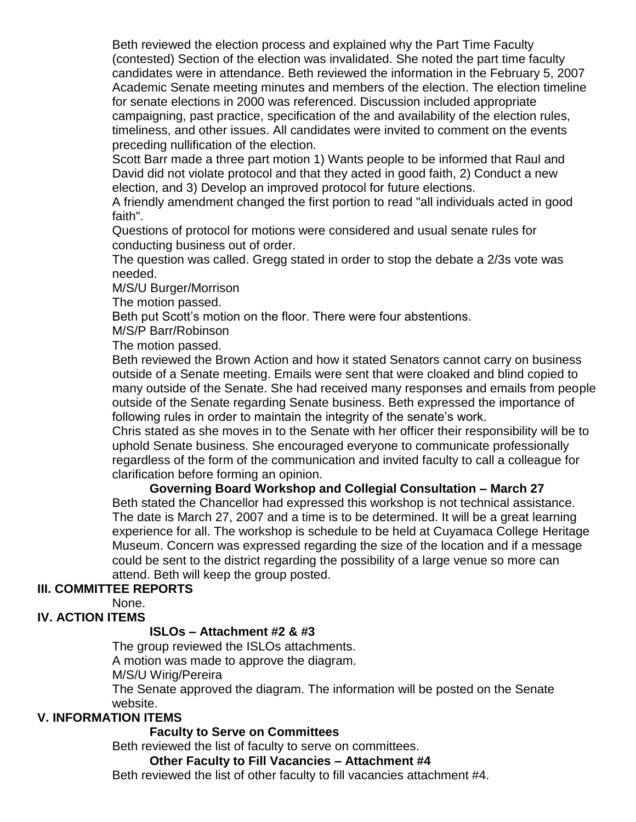Beth reviewed the election process and explained why the Part Time Faculty (contested) Section of the election was invalidated. She noted the part time faculty candidates were in attendance. Beth reviewed the information in the February 5, 2007 Academic Senate meeting minutes and members of the election. The election timeline for senate elections in 2000 was referenced. Discussion included appropriate campaigning, past practice, specification of the and availability of the election rules, timeliness, and other issues. All candidates were invited to comment on the events preceding nullification of the election.

Scott Barr made a three part motion 1) Wants people to be informed that Raul and David did not violate protocol and that they acted in good faith, 2) Conduct a new election, and 3) Develop an improved protocol for future elections.

A friendly amendment changed the first portion to read "all individuals acted in good faith".

Questions of protocol for motions were considered and usual senate rules for conducting business out of order.

The question was called. Gregg stated in order to stop the debate a 2/3s vote was needed.

M/S/U Burger/Morrison

The motion passed.

Beth put Scott's motion on the floor. There were four abstentions.

M/S/P Barr/Robinson

The motion passed.

Beth reviewed the Brown Action and how it stated Senators cannot carry on business outside of a Senate meeting. Emails were sent that were cloaked and blind copied to many outside of the Senate. She had received many responses and emails from people outside of the Senate regarding Senate business. Beth expressed the importance of following rules in order to maintain the integrity of the senate's work.

Chris stated as she moves in to the Senate with her officer their responsibility will be to uphold Senate business. She encouraged everyone to communicate professionally regardless of the form of the communication and invited faculty to call a colleague for clarification before forming an opinion.

**Governing Board Workshop and Collegial Consultation – March 27** Beth stated the Chancellor had expressed this workshop is not technical assistance. The date is March 27, 2007 and a time is to be determined. It will be a great learning experience for all. The workshop is schedule to be held at Cuyamaca College Heritage Museum. Concern was expressed regarding the size of the location and if a message could be sent to the district regarding the possibility of a large venue so more can attend. Beth will keep the group posted.

## **III. COMMITTEE REPORTS**

None.

## **IV. ACTION ITEMS**

## **ISLOs – Attachment #2 & #3**

The group reviewed the ISLOs attachments.

A motion was made to approve the diagram.

M/S/U Wirig/Pereira

The Senate approved the diagram. The information will be posted on the Senate website.

#### **V. INFORMATION ITEMS**

## **Faculty to Serve on Committees**

Beth reviewed the list of faculty to serve on committees.

#### **Other Faculty to Fill Vacancies – Attachment #4**

Beth reviewed the list of other faculty to fill vacancies attachment #4.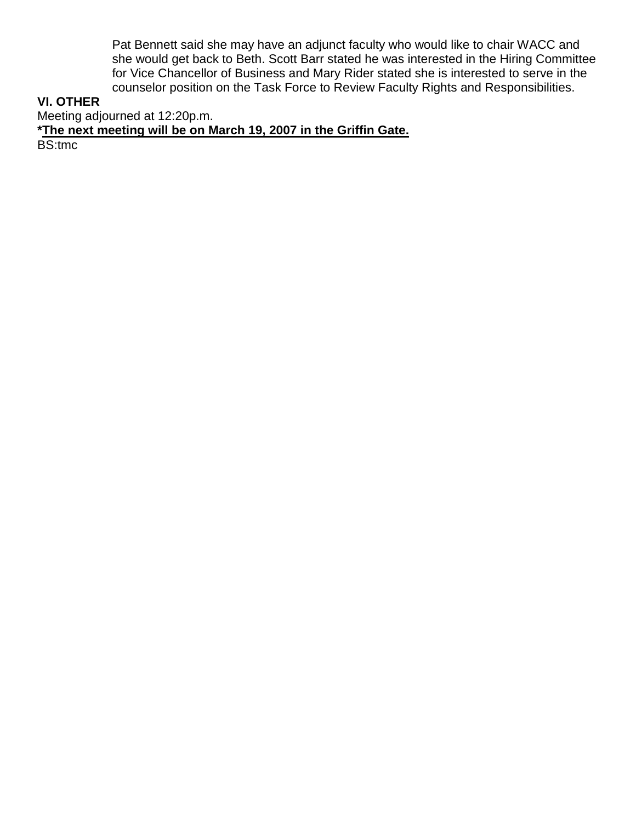Pat Bennett said she may have an adjunct faculty who would like to chair WACC and she would get back to Beth. Scott Barr stated he was interested in the Hiring Committee for Vice Chancellor of Business and Mary Rider stated she is interested to serve in the counselor position on the Task Force to Review Faculty Rights and Responsibilities.

## **VI. OTHER**

Meeting adjourned at 12:20p.m.

**\*The next meeting will be on March 19, 2007 in the Griffin Gate.**

BS:tmc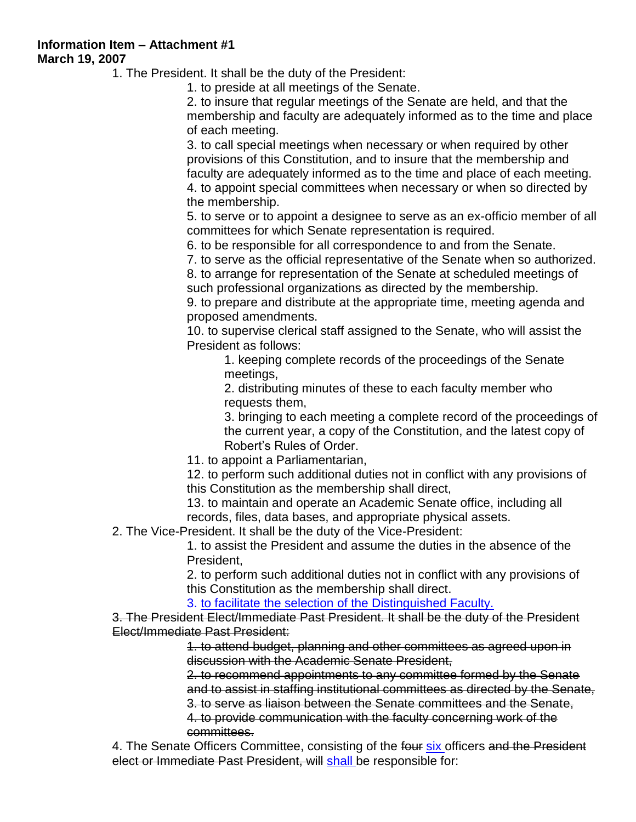**Information Item – Attachment #1 March 19, 2007**

1. The President. It shall be the duty of the President:

1. to preside at all meetings of the Senate.

2. to insure that regular meetings of the Senate are held, and that the membership and faculty are adequately informed as to the time and place of each meeting.

3. to call special meetings when necessary or when required by other provisions of this Constitution, and to insure that the membership and faculty are adequately informed as to the time and place of each meeting. 4. to appoint special committees when necessary or when so directed by the membership.

5. to serve or to appoint a designee to serve as an ex-officio member of all committees for which Senate representation is required.

6. to be responsible for all correspondence to and from the Senate.

7. to serve as the official representative of the Senate when so authorized.

8. to arrange for representation of the Senate at scheduled meetings of such professional organizations as directed by the membership.

9. to prepare and distribute at the appropriate time, meeting agenda and proposed amendments.

10. to supervise clerical staff assigned to the Senate, who will assist the President as follows:

1. keeping complete records of the proceedings of the Senate meetings,

2. distributing minutes of these to each faculty member who requests them,

3. bringing to each meeting a complete record of the proceedings of the current year, a copy of the Constitution, and the latest copy of Robert's Rules of Order.

11. to appoint a Parliamentarian,

12. to perform such additional duties not in conflict with any provisions of this Constitution as the membership shall direct,

13. to maintain and operate an Academic Senate office, including all records, files, data bases, and appropriate physical assets.

2. The Vice-President. It shall be the duty of the Vice-President:

1. to assist the President and assume the duties in the absence of the President,

2. to perform such additional duties not in conflict with any provisions of this Constitution as the membership shall direct.

3. to facilitate the selection of the Distinguished Faculty.

3. The President Elect/Immediate Past President. It shall be the duty of the President Elect/Immediate Past President:

> 1. to attend budget, planning and other committees as agreed upon in discussion with the Academic Senate President,

2. to recommend appointments to any committee formed by the Senate and to assist in staffing institutional committees as directed by the Senate,

3. to serve as liaison between the Senate committees and the Senate,

4. to provide communication with the faculty concerning work of the committees.

4. The Senate Officers Committee, consisting of the four six officers and the President elect or Immediate Past President, will shall be responsible for: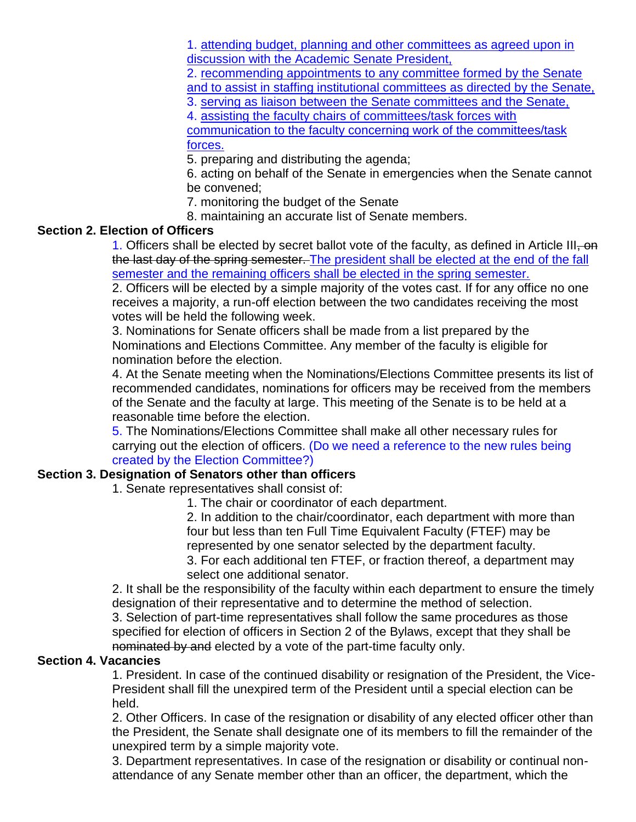1. attending budget, planning and other committees as agreed upon in discussion with the Academic Senate President,

2. recommending appointments to any committee formed by the Senate and to assist in staffing institutional committees as directed by the Senate,

3. serving as liaison between the Senate committees and the Senate,

4. assisting the faculty chairs of committees/task forces with communication to the faculty concerning work of the committees/task forces.

5. preparing and distributing the agenda;

6. acting on behalf of the Senate in emergencies when the Senate cannot be convened;

7. monitoring the budget of the Senate

8. maintaining an accurate list of Senate members.

## **Section 2. Election of Officers**

1. Officers shall be elected by secret ballot vote of the faculty, as defined in Article III, on the last day of the spring semester. The president shall be elected at the end of the fall semester and the remaining officers shall be elected in the spring semester.

2. Officers will be elected by a simple majority of the votes cast. If for any office no one receives a majority, a run-off election between the two candidates receiving the most votes will be held the following week.

3. Nominations for Senate officers shall be made from a list prepared by the Nominations and Elections Committee. Any member of the faculty is eligible for nomination before the election.

4. At the Senate meeting when the Nominations/Elections Committee presents its list of recommended candidates, nominations for officers may be received from the members of the Senate and the faculty at large. This meeting of the Senate is to be held at a reasonable time before the election.

5. The Nominations/Elections Committee shall make all other necessary rules for carrying out the election of officers. (Do we need a reference to the new rules being created by the Election Committee?)

#### **Section 3. Designation of Senators other than officers**

1. Senate representatives shall consist of:

1. The chair or coordinator of each department.

2. In addition to the chair/coordinator, each department with more than four but less than ten Full Time Equivalent Faculty (FTEF) may be represented by one senator selected by the department faculty. 3. For each additional ten FTEF, or fraction thereof, a department may select one additional senator.

2. It shall be the responsibility of the faculty within each department to ensure the timely designation of their representative and to determine the method of selection.

3. Selection of part-time representatives shall follow the same procedures as those specified for election of officers in Section 2 of the Bylaws, except that they shall be nominated by and elected by a vote of the part-time faculty only.

#### **Section 4. Vacancies**

1. President. In case of the continued disability or resignation of the President, the Vice-President shall fill the unexpired term of the President until a special election can be held.

2. Other Officers. In case of the resignation or disability of any elected officer other than the President, the Senate shall designate one of its members to fill the remainder of the unexpired term by a simple majority vote.

3. Department representatives. In case of the resignation or disability or continual nonattendance of any Senate member other than an officer, the department, which the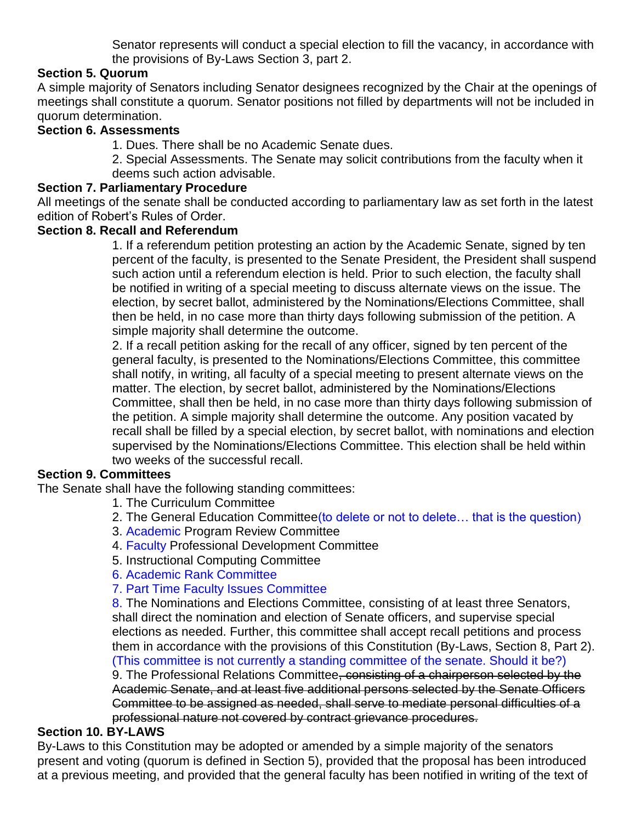Senator represents will conduct a special election to fill the vacancy, in accordance with the provisions of By-Laws Section 3, part 2.

## **Section 5. Quorum**

A simple majority of Senators including Senator designees recognized by the Chair at the openings of meetings shall constitute a quorum. Senator positions not filled by departments will not be included in quorum determination.

#### **Section 6. Assessments**

1. Dues. There shall be no Academic Senate dues.

2. Special Assessments. The Senate may solicit contributions from the faculty when it deems such action advisable.

#### **Section 7. Parliamentary Procedure**

All meetings of the senate shall be conducted according to parliamentary law as set forth in the latest edition of Robert's Rules of Order.

#### **Section 8. Recall and Referendum**

1. If a referendum petition protesting an action by the Academic Senate, signed by ten percent of the faculty, is presented to the Senate President, the President shall suspend such action until a referendum election is held. Prior to such election, the faculty shall be notified in writing of a special meeting to discuss alternate views on the issue. The election, by secret ballot, administered by the Nominations/Elections Committee, shall then be held, in no case more than thirty days following submission of the petition. A simple majority shall determine the outcome.

2. If a recall petition asking for the recall of any officer, signed by ten percent of the general faculty, is presented to the Nominations/Elections Committee, this committee shall notify, in writing, all faculty of a special meeting to present alternate views on the matter. The election, by secret ballot, administered by the Nominations/Elections Committee, shall then be held, in no case more than thirty days following submission of the petition. A simple majority shall determine the outcome. Any position vacated by recall shall be filled by a special election, by secret ballot, with nominations and election supervised by the Nominations/Elections Committee. This election shall be held within two weeks of the successful recall.

#### **Section 9. Committees**

The Senate shall have the following standing committees:

- 1. The Curriculum Committee
- 2. The General Education Committee(to delete or not to delete… that is the question)
- 3. Academic Program Review Committee
- 4. Faculty Professional Development Committee
- 5. Instructional Computing Committee
- 6. Academic Rank Committee

#### 7. Part Time Faculty Issues Committee

8. The Nominations and Elections Committee, consisting of at least three Senators, shall direct the nomination and election of Senate officers, and supervise special elections as needed. Further, this committee shall accept recall petitions and process them in accordance with the provisions of this Constitution (By-Laws, Section 8, Part 2). (This committee is not currently a standing committee of the senate. Should it be?)

9. The Professional Relations Committee, consisting of a chairperson selected by the Academic Senate, and at least five additional persons selected by the Senate Officers Committee to be assigned as needed, shall serve to mediate personal difficulties of a professional nature not covered by contract grievance procedures.

#### **Section 10. BY-LAWS**

By-Laws to this Constitution may be adopted or amended by a simple majority of the senators present and voting (quorum is defined in Section 5), provided that the proposal has been introduced at a previous meeting, and provided that the general faculty has been notified in writing of the text of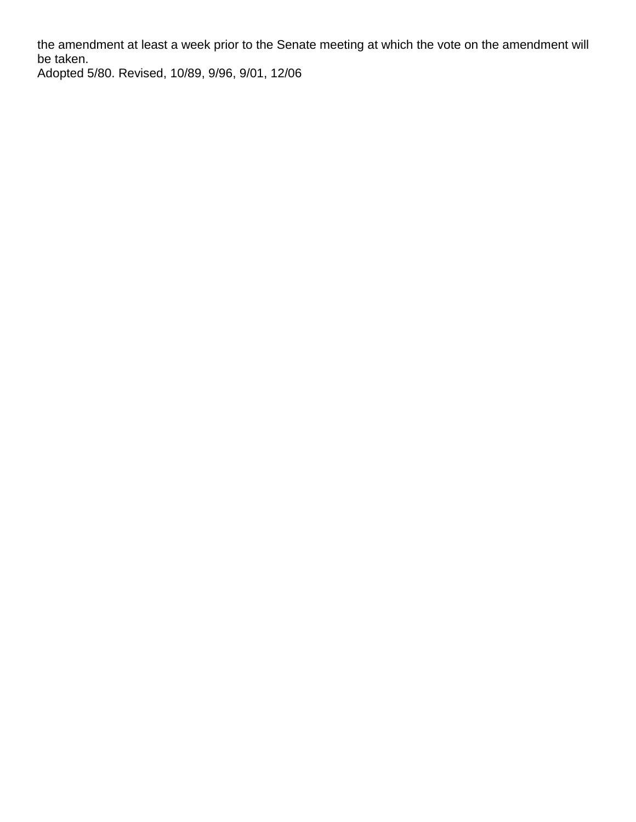the amendment at least a week prior to the Senate meeting at which the vote on the amendment will be taken.

Adopted 5/80. Revised, 10/89, 9/96, 9/01, 12/06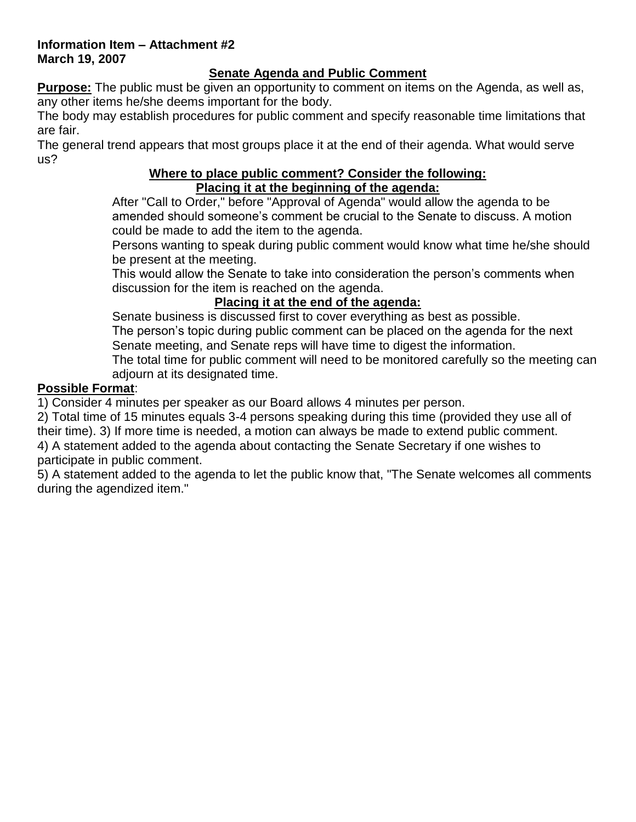#### **Information Item – Attachment #2 March 19, 2007**

## **Senate Agenda and Public Comment**

**Purpose:** The public must be given an opportunity to comment on items on the Agenda, as well as, any other items he/she deems important for the body.

The body may establish procedures for public comment and specify reasonable time limitations that are fair.

The general trend appears that most groups place it at the end of their agenda. What would serve us?

## **Where to place public comment? Consider the following: Placing it at the beginning of the agenda:**

After "Call to Order," before "Approval of Agenda" would allow the agenda to be amended should someone's comment be crucial to the Senate to discuss. A motion could be made to add the item to the agenda.

Persons wanting to speak during public comment would know what time he/she should be present at the meeting.

This would allow the Senate to take into consideration the person's comments when discussion for the item is reached on the agenda.

## **Placing it at the end of the agenda:**

Senate business is discussed first to cover everything as best as possible. The person's topic during public comment can be placed on the agenda for the next Senate meeting, and Senate reps will have time to digest the information.

The total time for public comment will need to be monitored carefully so the meeting can adjourn at its designated time.

## **Possible Format**:

1) Consider 4 minutes per speaker as our Board allows 4 minutes per person.

2) Total time of 15 minutes equals 3-4 persons speaking during this time (provided they use all of their time). 3) If more time is needed, a motion can always be made to extend public comment. 4) A statement added to the agenda about contacting the Senate Secretary if one wishes to

participate in public comment.

5) A statement added to the agenda to let the public know that, "The Senate welcomes all comments during the agendized item."